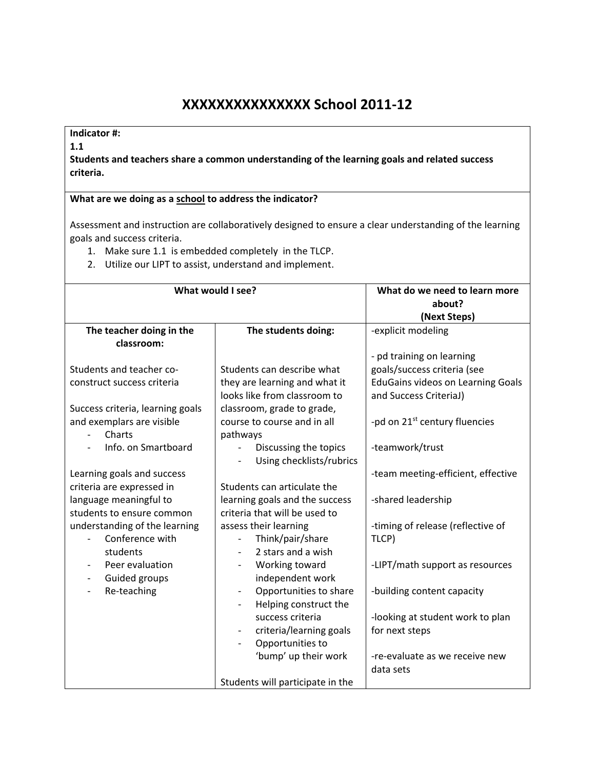## **XXXXXXXXXXXXXXX School 2011-12**

## **Indicator #:**

**1.1** 

**Students and teachers share a common understanding of the learning goals and related success criteria.** 

## **What are we doing as a school to address the indicator?**

Assessment and instruction are collaboratively designed to ensure a clear understanding of the learning goals and success criteria.

- 1. Make sure 1.1 is embedded completely in the TLCP.
- 2. Utilize our LIPT to assist, understand and implement.

| What do we need to learn more<br>about?<br>(Next Steps)<br>The teacher doing in the<br>-explicit modeling<br>The students doing:<br>classroom:<br>- pd training on learning<br>goals/success criteria (see<br>Students and teacher co-<br>Students can describe what<br>they are learning and what it<br><b>EduGains videos on Learning Goals</b><br>construct success criteria<br>looks like from classroom to<br>and Success CriteriaJ)<br>classroom, grade to grade,<br>Success criteria, learning goals<br>and exemplars are visible<br>-pd on 21 <sup>st</sup> century fluencies<br>course to course and in all<br>Charts<br>pathways<br>Info. on Smartboard<br>-teamwork/trust<br>Discussing the topics<br>Using checklists/rubrics<br>Learning goals and success<br>-team meeting-efficient, effective<br>criteria are expressed in<br>Students can articulate the<br>learning goals and the success<br>language meaningful to<br>-shared leadership<br>criteria that will be used to<br>students to ensure common<br>understanding of the learning<br>assess their learning<br>-timing of release (reflective of<br>Conference with<br>Think/pair/share<br>TLCP)<br>2 stars and a wish<br>students<br>Peer evaluation<br>Working toward<br>-LIPT/math support as resources<br>Guided groups<br>independent work<br>$\qquad \qquad \blacksquare$<br>Re-teaching<br>Opportunities to share<br>-building content capacity<br>Helping construct the<br>success criteria<br>-looking at student work to plan<br>criteria/learning goals<br>for next steps<br>Opportunities to<br>'bump' up their work<br>-re-evaluate as we receive new<br>data sets |                   |                                  |  |  |
|---------------------------------------------------------------------------------------------------------------------------------------------------------------------------------------------------------------------------------------------------------------------------------------------------------------------------------------------------------------------------------------------------------------------------------------------------------------------------------------------------------------------------------------------------------------------------------------------------------------------------------------------------------------------------------------------------------------------------------------------------------------------------------------------------------------------------------------------------------------------------------------------------------------------------------------------------------------------------------------------------------------------------------------------------------------------------------------------------------------------------------------------------------------------------------------------------------------------------------------------------------------------------------------------------------------------------------------------------------------------------------------------------------------------------------------------------------------------------------------------------------------------------------------------------------------------------------------------------------------------------------------------------------|-------------------|----------------------------------|--|--|
|                                                                                                                                                                                                                                                                                                                                                                                                                                                                                                                                                                                                                                                                                                                                                                                                                                                                                                                                                                                                                                                                                                                                                                                                                                                                                                                                                                                                                                                                                                                                                                                                                                                         | What would I see? |                                  |  |  |
|                                                                                                                                                                                                                                                                                                                                                                                                                                                                                                                                                                                                                                                                                                                                                                                                                                                                                                                                                                                                                                                                                                                                                                                                                                                                                                                                                                                                                                                                                                                                                                                                                                                         |                   |                                  |  |  |
|                                                                                                                                                                                                                                                                                                                                                                                                                                                                                                                                                                                                                                                                                                                                                                                                                                                                                                                                                                                                                                                                                                                                                                                                                                                                                                                                                                                                                                                                                                                                                                                                                                                         |                   |                                  |  |  |
|                                                                                                                                                                                                                                                                                                                                                                                                                                                                                                                                                                                                                                                                                                                                                                                                                                                                                                                                                                                                                                                                                                                                                                                                                                                                                                                                                                                                                                                                                                                                                                                                                                                         |                   |                                  |  |  |
|                                                                                                                                                                                                                                                                                                                                                                                                                                                                                                                                                                                                                                                                                                                                                                                                                                                                                                                                                                                                                                                                                                                                                                                                                                                                                                                                                                                                                                                                                                                                                                                                                                                         |                   |                                  |  |  |
|                                                                                                                                                                                                                                                                                                                                                                                                                                                                                                                                                                                                                                                                                                                                                                                                                                                                                                                                                                                                                                                                                                                                                                                                                                                                                                                                                                                                                                                                                                                                                                                                                                                         |                   |                                  |  |  |
|                                                                                                                                                                                                                                                                                                                                                                                                                                                                                                                                                                                                                                                                                                                                                                                                                                                                                                                                                                                                                                                                                                                                                                                                                                                                                                                                                                                                                                                                                                                                                                                                                                                         |                   |                                  |  |  |
|                                                                                                                                                                                                                                                                                                                                                                                                                                                                                                                                                                                                                                                                                                                                                                                                                                                                                                                                                                                                                                                                                                                                                                                                                                                                                                                                                                                                                                                                                                                                                                                                                                                         |                   |                                  |  |  |
|                                                                                                                                                                                                                                                                                                                                                                                                                                                                                                                                                                                                                                                                                                                                                                                                                                                                                                                                                                                                                                                                                                                                                                                                                                                                                                                                                                                                                                                                                                                                                                                                                                                         |                   |                                  |  |  |
|                                                                                                                                                                                                                                                                                                                                                                                                                                                                                                                                                                                                                                                                                                                                                                                                                                                                                                                                                                                                                                                                                                                                                                                                                                                                                                                                                                                                                                                                                                                                                                                                                                                         |                   |                                  |  |  |
|                                                                                                                                                                                                                                                                                                                                                                                                                                                                                                                                                                                                                                                                                                                                                                                                                                                                                                                                                                                                                                                                                                                                                                                                                                                                                                                                                                                                                                                                                                                                                                                                                                                         |                   |                                  |  |  |
|                                                                                                                                                                                                                                                                                                                                                                                                                                                                                                                                                                                                                                                                                                                                                                                                                                                                                                                                                                                                                                                                                                                                                                                                                                                                                                                                                                                                                                                                                                                                                                                                                                                         |                   |                                  |  |  |
|                                                                                                                                                                                                                                                                                                                                                                                                                                                                                                                                                                                                                                                                                                                                                                                                                                                                                                                                                                                                                                                                                                                                                                                                                                                                                                                                                                                                                                                                                                                                                                                                                                                         |                   |                                  |  |  |
|                                                                                                                                                                                                                                                                                                                                                                                                                                                                                                                                                                                                                                                                                                                                                                                                                                                                                                                                                                                                                                                                                                                                                                                                                                                                                                                                                                                                                                                                                                                                                                                                                                                         |                   |                                  |  |  |
|                                                                                                                                                                                                                                                                                                                                                                                                                                                                                                                                                                                                                                                                                                                                                                                                                                                                                                                                                                                                                                                                                                                                                                                                                                                                                                                                                                                                                                                                                                                                                                                                                                                         |                   |                                  |  |  |
|                                                                                                                                                                                                                                                                                                                                                                                                                                                                                                                                                                                                                                                                                                                                                                                                                                                                                                                                                                                                                                                                                                                                                                                                                                                                                                                                                                                                                                                                                                                                                                                                                                                         |                   |                                  |  |  |
|                                                                                                                                                                                                                                                                                                                                                                                                                                                                                                                                                                                                                                                                                                                                                                                                                                                                                                                                                                                                                                                                                                                                                                                                                                                                                                                                                                                                                                                                                                                                                                                                                                                         |                   |                                  |  |  |
|                                                                                                                                                                                                                                                                                                                                                                                                                                                                                                                                                                                                                                                                                                                                                                                                                                                                                                                                                                                                                                                                                                                                                                                                                                                                                                                                                                                                                                                                                                                                                                                                                                                         |                   |                                  |  |  |
|                                                                                                                                                                                                                                                                                                                                                                                                                                                                                                                                                                                                                                                                                                                                                                                                                                                                                                                                                                                                                                                                                                                                                                                                                                                                                                                                                                                                                                                                                                                                                                                                                                                         |                   |                                  |  |  |
|                                                                                                                                                                                                                                                                                                                                                                                                                                                                                                                                                                                                                                                                                                                                                                                                                                                                                                                                                                                                                                                                                                                                                                                                                                                                                                                                                                                                                                                                                                                                                                                                                                                         |                   |                                  |  |  |
|                                                                                                                                                                                                                                                                                                                                                                                                                                                                                                                                                                                                                                                                                                                                                                                                                                                                                                                                                                                                                                                                                                                                                                                                                                                                                                                                                                                                                                                                                                                                                                                                                                                         |                   |                                  |  |  |
|                                                                                                                                                                                                                                                                                                                                                                                                                                                                                                                                                                                                                                                                                                                                                                                                                                                                                                                                                                                                                                                                                                                                                                                                                                                                                                                                                                                                                                                                                                                                                                                                                                                         |                   |                                  |  |  |
|                                                                                                                                                                                                                                                                                                                                                                                                                                                                                                                                                                                                                                                                                                                                                                                                                                                                                                                                                                                                                                                                                                                                                                                                                                                                                                                                                                                                                                                                                                                                                                                                                                                         |                   |                                  |  |  |
|                                                                                                                                                                                                                                                                                                                                                                                                                                                                                                                                                                                                                                                                                                                                                                                                                                                                                                                                                                                                                                                                                                                                                                                                                                                                                                                                                                                                                                                                                                                                                                                                                                                         |                   |                                  |  |  |
|                                                                                                                                                                                                                                                                                                                                                                                                                                                                                                                                                                                                                                                                                                                                                                                                                                                                                                                                                                                                                                                                                                                                                                                                                                                                                                                                                                                                                                                                                                                                                                                                                                                         |                   |                                  |  |  |
|                                                                                                                                                                                                                                                                                                                                                                                                                                                                                                                                                                                                                                                                                                                                                                                                                                                                                                                                                                                                                                                                                                                                                                                                                                                                                                                                                                                                                                                                                                                                                                                                                                                         |                   |                                  |  |  |
|                                                                                                                                                                                                                                                                                                                                                                                                                                                                                                                                                                                                                                                                                                                                                                                                                                                                                                                                                                                                                                                                                                                                                                                                                                                                                                                                                                                                                                                                                                                                                                                                                                                         |                   |                                  |  |  |
|                                                                                                                                                                                                                                                                                                                                                                                                                                                                                                                                                                                                                                                                                                                                                                                                                                                                                                                                                                                                                                                                                                                                                                                                                                                                                                                                                                                                                                                                                                                                                                                                                                                         |                   |                                  |  |  |
|                                                                                                                                                                                                                                                                                                                                                                                                                                                                                                                                                                                                                                                                                                                                                                                                                                                                                                                                                                                                                                                                                                                                                                                                                                                                                                                                                                                                                                                                                                                                                                                                                                                         |                   |                                  |  |  |
|                                                                                                                                                                                                                                                                                                                                                                                                                                                                                                                                                                                                                                                                                                                                                                                                                                                                                                                                                                                                                                                                                                                                                                                                                                                                                                                                                                                                                                                                                                                                                                                                                                                         |                   |                                  |  |  |
|                                                                                                                                                                                                                                                                                                                                                                                                                                                                                                                                                                                                                                                                                                                                                                                                                                                                                                                                                                                                                                                                                                                                                                                                                                                                                                                                                                                                                                                                                                                                                                                                                                                         |                   | Students will participate in the |  |  |